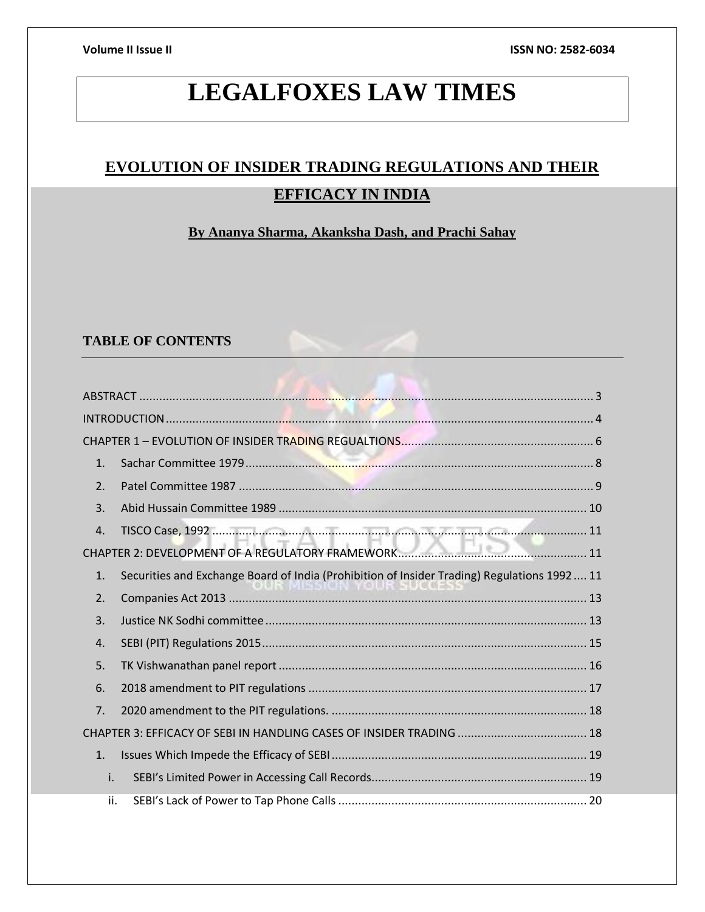# **LEGALFOXES LAW TIMES**

# **EVOLUTION OF INSIDER TRADING REGULATIONS AND THEIR EFFICACY IN INDIA**

# **By Ananya Sharma, Akanksha Dash, and Prachi Sahay**

# **TABLE OF CONTENTS**

| $\mathbf{1}$ .   |                                                                                             |
|------------------|---------------------------------------------------------------------------------------------|
| $\overline{2}$ . |                                                                                             |
| $\overline{3}$ . |                                                                                             |
| 4.               |                                                                                             |
|                  |                                                                                             |
| $\mathbf{1}$ .   | Securities and Exchange Board of India (Prohibition of Insider Trading) Regulations 1992 11 |
| 2.               |                                                                                             |
| 3.               |                                                                                             |
| 4.               |                                                                                             |
| 5.               |                                                                                             |
| 6.               |                                                                                             |
| 7 <sub>1</sub>   |                                                                                             |
|                  |                                                                                             |
| $\mathbf{1}$ .   |                                                                                             |
| i.               |                                                                                             |
| ii.              |                                                                                             |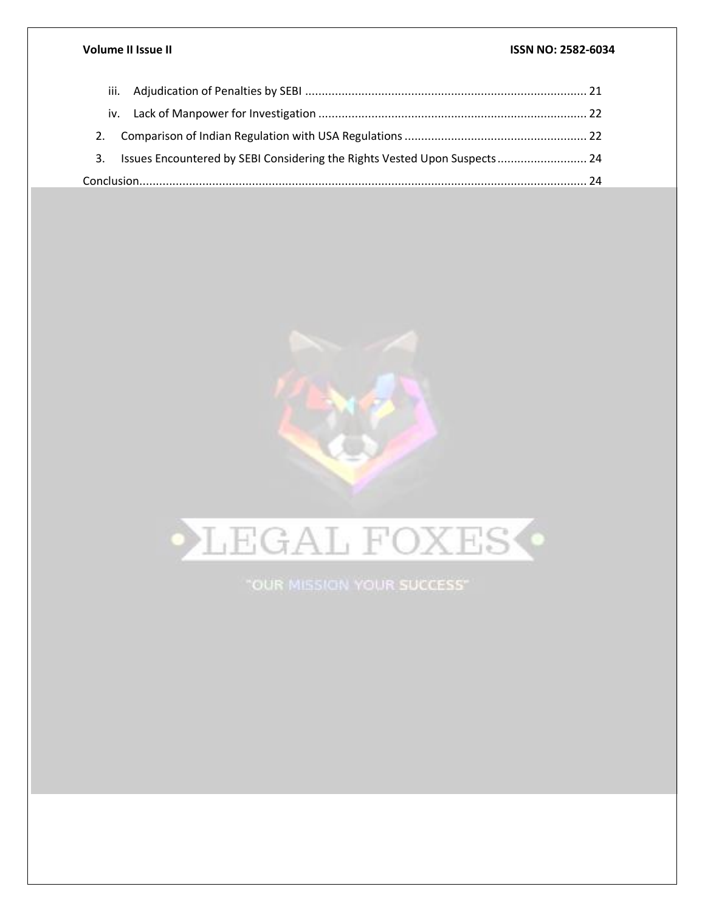|  | 3. Issues Encountered by SEBI Considering the Rights Vested Upon Suspects 24 |  |
|--|------------------------------------------------------------------------------|--|
|  |                                                                              |  |



"OUR MISSION YOUR SUCCESS"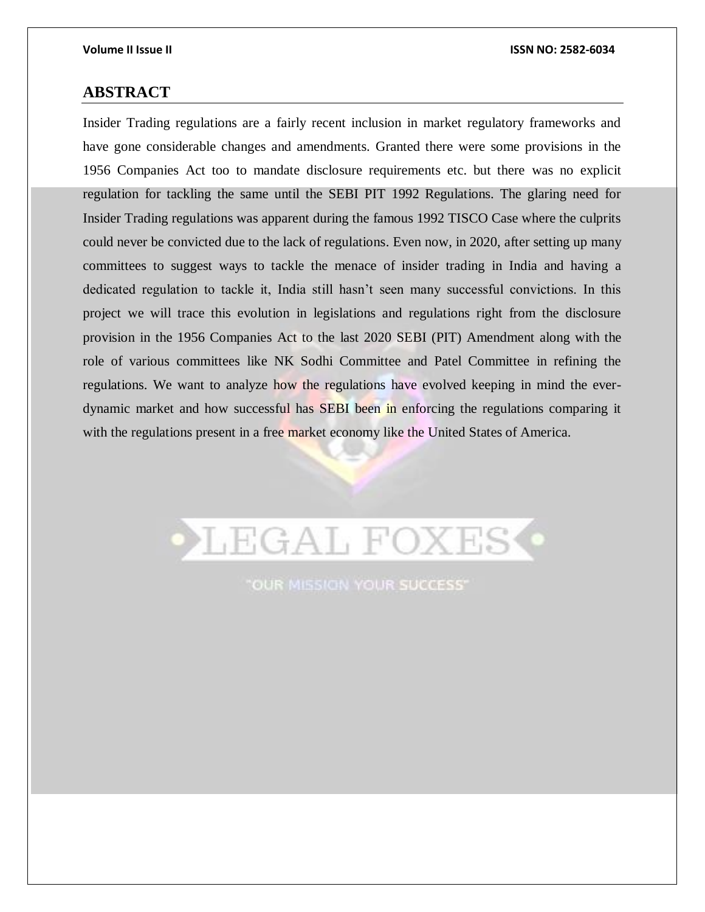# <span id="page-2-0"></span>**ABSTRACT**

Insider Trading regulations are a fairly recent inclusion in market regulatory frameworks and have gone considerable changes and amendments. Granted there were some provisions in the 1956 Companies Act too to mandate disclosure requirements etc. but there was no explicit regulation for tackling the same until the SEBI PIT 1992 Regulations. The glaring need for Insider Trading regulations was apparent during the famous 1992 TISCO Case where the culprits could never be convicted due to the lack of regulations. Even now, in 2020, after setting up many committees to suggest ways to tackle the menace of insider trading in India and having a dedicated regulation to tackle it, India still hasn't seen many successful convictions. In this project we will trace this evolution in legislations and regulations right from the disclosure provision in the 1956 Companies Act to the last 2020 SEBI (PIT) Amendment along with the role of various committees like NK Sodhi Committee and Patel Committee in refining the regulations. We want to analyze how the regulations have evolved keeping in mind the everdynamic market and how successful has SEBI been in enforcing the regulations comparing it with the regulations present in a free market economy like the United States of America.



**"OUR MISSION YOUR SUCCESS"**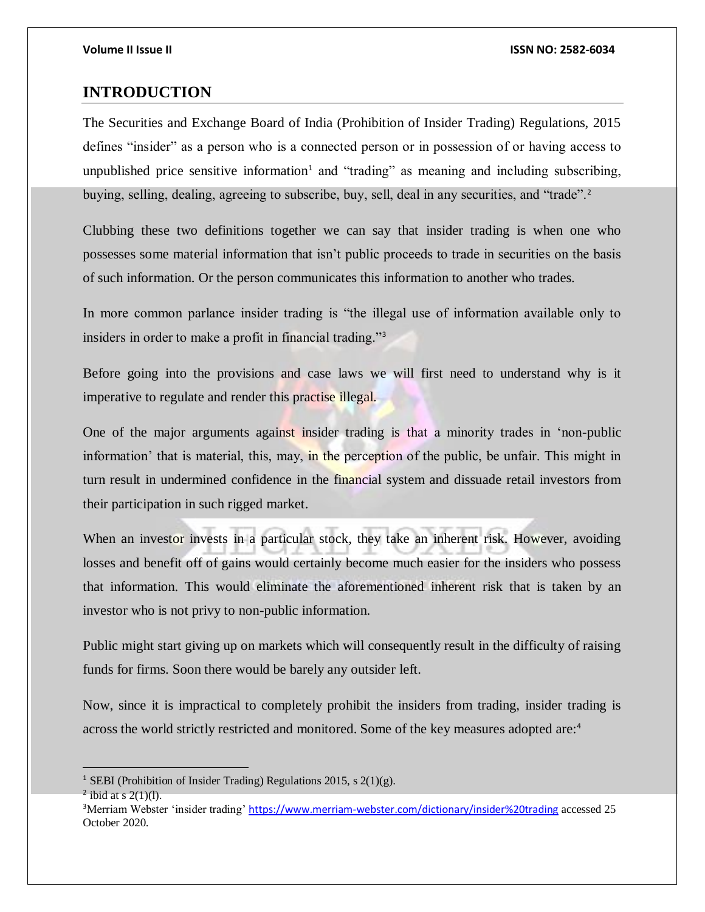# <span id="page-3-0"></span>**INTRODUCTION**

The Securities and Exchange Board of India (Prohibition of Insider Trading) Regulations, 2015 defines "insider" as a person who is a connected person or in possession of or having access to unpublished price sensitive information<sup>1</sup> and "trading" as meaning and including subscribing, buying, selling, dealing, agreeing to subscribe, buy, sell, deal in any securities, and "trade".<sup>2</sup>

Clubbing these two definitions together we can say that insider trading is when one who possesses some material information that isn't public proceeds to trade in securities on the basis of such information. Or the person communicates this information to another who trades.

In more common parlance insider trading is "the illegal use of information available only to insiders in order to make a profit in financial trading."<sup>3</sup>

Before going into the provisions and case laws we will first need to understand why is it imperative to regulate and render this practise illegal.

One of the major arguments against insider trading is that a minority trades in 'non-public information' that is material, this, may, in the perception of the public, be unfair. This might in turn result in undermined confidence in the financial system and dissuade retail investors from their participation in such rigged market.

When an investor invests in a particular stock, they take an inherent risk. However, avoiding losses and benefit off of gains would certainly become much easier for the insiders who possess that information. This would eliminate the aforementioned inherent risk that is taken by an investor who is not privy to non-public information.

Public might start giving up on markets which will consequently result in the difficulty of raising funds for firms. Soon there would be barely any outsider left.

Now, since it is impractical to completely prohibit the insiders from trading, insider trading is across the world strictly restricted and monitored. Some of the key measures adopted are:<sup>4</sup>

<sup>&</sup>lt;sup>1</sup> SEBI (Prohibition of Insider Trading) Regulations 2015, s  $2(1)(g)$ .

 $2$  ibid at s 2(1)(1).

<sup>&</sup>lt;sup>3</sup>Merriam Webster 'insider trading' <https://www.merriam-webster.com/dictionary/insider%20trading> accessed 25 October 2020.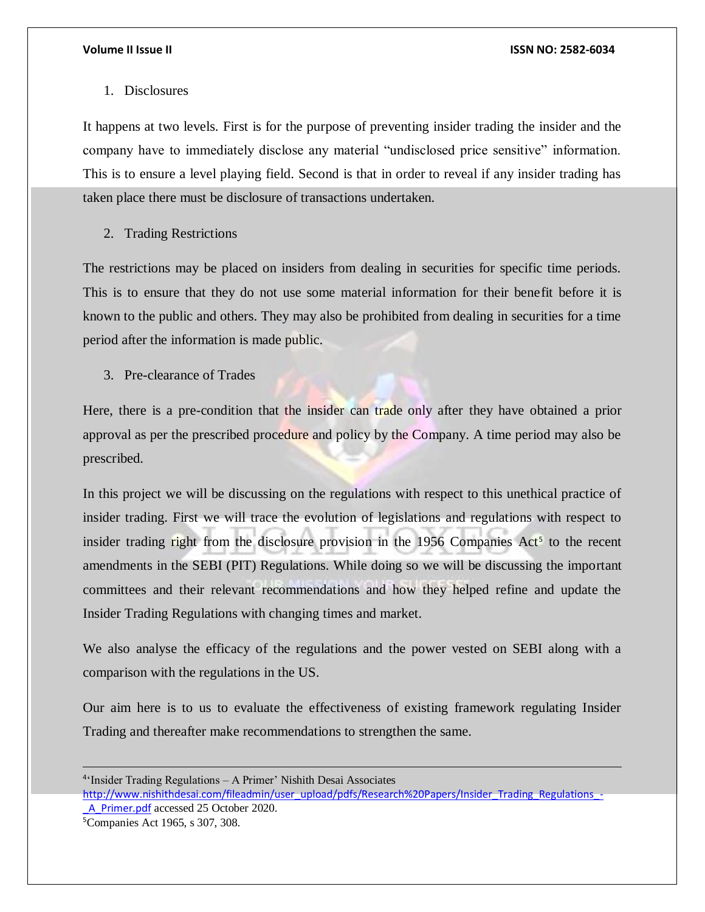## 1. Disclosures

It happens at two levels. First is for the purpose of preventing insider trading the insider and the company have to immediately disclose any material "undisclosed price sensitive" information. This is to ensure a level playing field. Second is that in order to reveal if any insider trading has taken place there must be disclosure of transactions undertaken.

## 2. Trading Restrictions

The restrictions may be placed on insiders from dealing in securities for specific time periods. This is to ensure that they do not use some material information for their benefit before it is known to the public and others. They may also be prohibited from dealing in securities for a time period after the information is made public.

3. Pre-clearance of Trades

Here, there is a pre-condition that the insider can trade only after they have obtained a prior approval as per the prescribed procedure and policy by the Company. A time period may also be prescribed.

In this project we will be discussing on the regulations with respect to this unethical practice of insider trading. First we will trace the evolution of legislations and regulations with respect to insider trading right from the disclosure provision in the 1956 Companies  $Act<sup>5</sup>$  to the recent amendments in the SEBI (PIT) Regulations. While doing so we will be discussing the important committees and their relevant recommendations and how they helped refine and update the Insider Trading Regulations with changing times and market.

We also analyse the efficacy of the regulations and the power vested on SEBI along with a comparison with the regulations in the US.

Our aim here is to us to evaluate the effectiveness of existing framework regulating Insider Trading and thereafter make recommendations to strengthen the same.

[http://www.nishithdesai.com/fileadmin/user\\_upload/pdfs/Research%20Papers/Insider\\_Trading\\_Regulations\\_-](http://www.nishithdesai.com/fileadmin/user_upload/pdfs/Research%20Papers/Insider_Trading_Regulations_-_A_Primer.pdf) A Primer.pdf accessed 25 October 2020.

5Companies Act 1965, s 307, 308.

<sup>4</sup> 'Insider Trading Regulations – A Primer' Nishith Desai Associates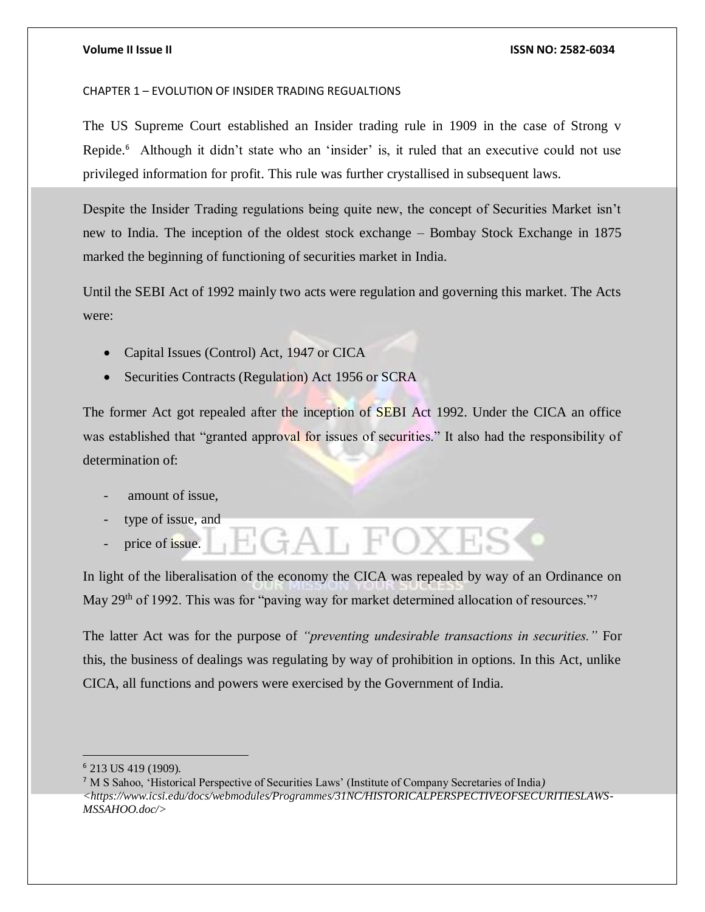### <span id="page-5-0"></span>CHAPTER 1 – EVOLUTION OF INSIDER TRADING REGUALTIONS

The US Supreme Court established an Insider trading rule in 1909 in the case of Strong v Repide.<sup>6</sup> Although it didn't state who an 'insider' is, it ruled that an executive could not use privileged information for profit. This rule was further crystallised in subsequent laws.

Despite the Insider Trading regulations being quite new, the concept of Securities Market isn't new to India. The inception of the oldest stock exchange – Bombay Stock Exchange in 1875 marked the beginning of functioning of securities market in India.

Until the SEBI Act of 1992 mainly two acts were regulation and governing this market. The Acts were:

- Capital Issues (Control) Act, 1947 or CICA
- Securities Contracts (Regulation) Act 1956 or SCRA

The former Act got repealed after the inception of SEBI Act 1992. Under the CICA an office was established that "granted approval for issues of securities." It also had the responsibility of determination of:

- amount of issue.
- type of issue, and
- price of issue.

In light of the liberalisation of the economy the CICA was repealed by way of an Ordinance on May 29<sup>th</sup> of 1992. This was for "paving way for market determined allocation of resources."<sup>7</sup>

EGAL FOXES

The latter Act was for the purpose of *"preventing undesirable transactions in securities."* For this, the business of dealings was regulating by way of prohibition in options. In this Act, unlike CICA, all functions and powers were exercised by the Government of India.

<sup>6</sup> 213 US 419 (1909).

<sup>7</sup> M S Sahoo, 'Historical Perspective of Securities Laws' (Institute of Company Secretaries of India*) <https://www.icsi.edu/docs/webmodules/Programmes/31NC/HISTORICALPERSPECTIVEOFSECURITIESLAWS-MSSAHOO.doc/>*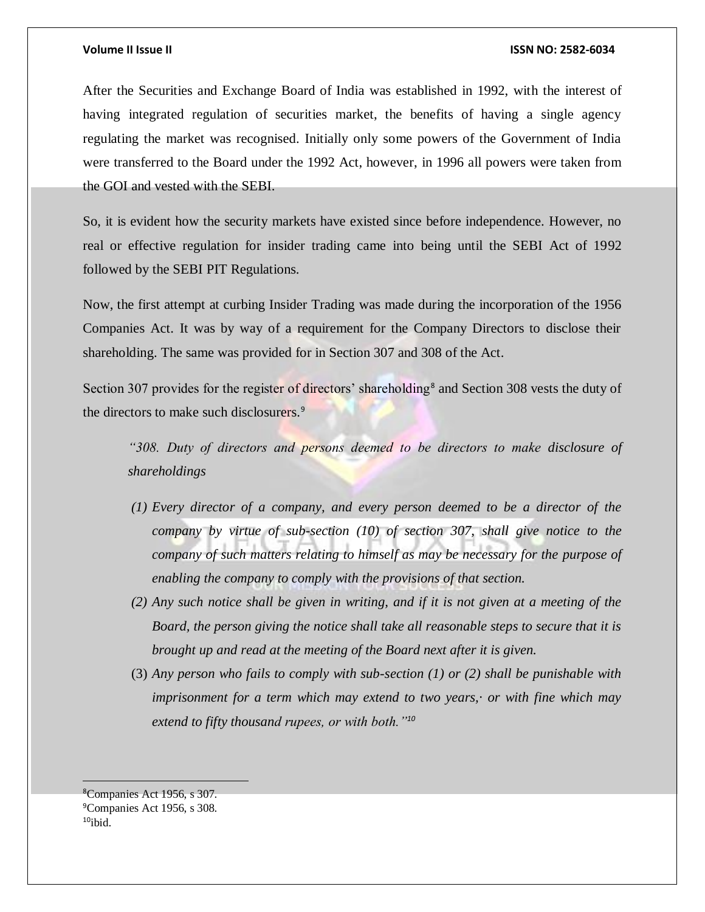After the Securities and Exchange Board of India was established in 1992, with the interest of having integrated regulation of securities market, the benefits of having a single agency regulating the market was recognised. Initially only some powers of the Government of India were transferred to the Board under the 1992 Act, however, in 1996 all powers were taken from the GOI and vested with the SEBI.

So, it is evident how the security markets have existed since before independence. However, no real or effective regulation for insider trading came into being until the SEBI Act of 1992 followed by the SEBI PIT Regulations.

Now, the first attempt at curbing Insider Trading was made during the incorporation of the 1956 Companies Act. It was by way of a requirement for the Company Directors to disclose their shareholding. The same was provided for in Section 307 and 308 of the Act.

Section 307 provides for the register of directors' shareholding<sup>8</sup> and Section 308 vests the duty of the directors to make such disclosurers.<sup>9</sup>

*"308. Duty of directors and persons deemed to be directors to make disclosure of shareholdings*

- *(1) Every director of a company, and every person deemed to be a director of the company by virtue of sub-section (10) of section 307, shall give notice to the company of such matters relating to himself as may be necessary for the purpose of enabling the company to comply with the provisions of that section.*
- *(2) Any such notice shall be given in writing, and if it is not given at a meeting of the Board, the person giving the notice shall take all reasonable steps to secure that it is brought up and read at the meeting of the Board next after it is given.*
- (3) *Any person who fails to comply with sub-section (1) or (2) shall be punishable with imprisonment for a term which may extend to two years,· or with fine which may extend to fifty thousand rupees, or with both."<sup>10</sup>*

<sup>8</sup>Companies Act 1956, s 307. <sup>9</sup>Companies Act 1956, s 308.  $10$ ibid.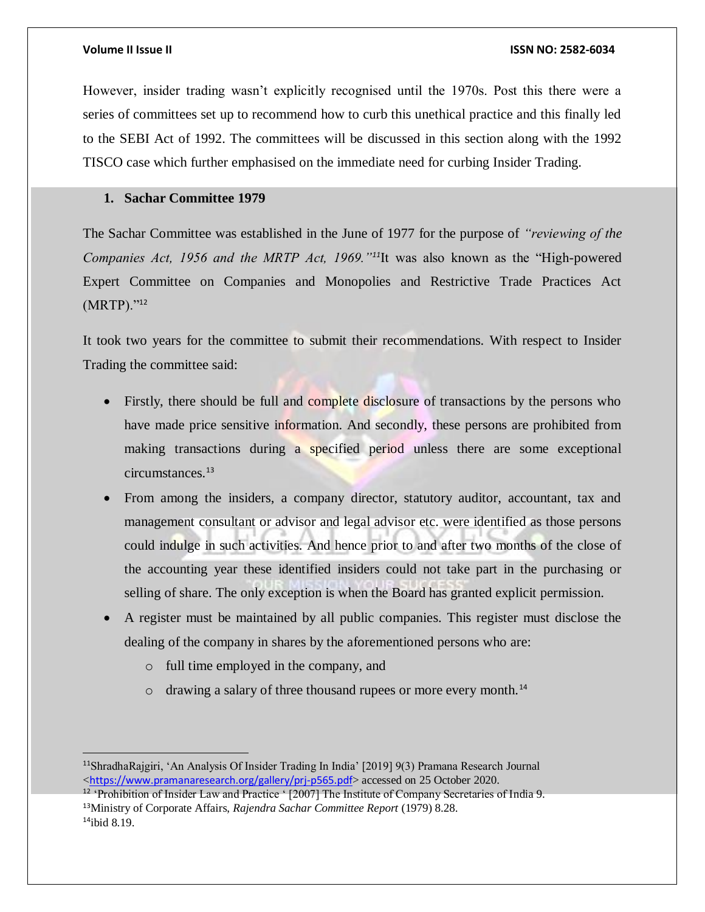However, insider trading wasn't explicitly recognised until the 1970s. Post this there were a series of committees set up to recommend how to curb this unethical practice and this finally led to the SEBI Act of 1992. The committees will be discussed in this section along with the 1992 TISCO case which further emphasised on the immediate need for curbing Insider Trading.

# <span id="page-7-0"></span>**1. Sachar Committee 1979**

The Sachar Committee was established in the June of 1977 for the purpose of *"reviewing of the Companies Act, 1956 and the MRTP Act, 1969."11*It was also known as the "High-powered Expert Committee on Companies and Monopolies and Restrictive Trade Practices Act (MRTP)."<sup>12</sup>

It took two years for the committee to submit their recommendations. With respect to Insider Trading the committee said:

- Firstly, there should be full and complete disclosure of transactions by the persons who have made price sensitive information. And secondly, these persons are prohibited from making transactions during a specified period unless there are some exceptional circumstances.<sup>13</sup>
- From among the insiders, a company director, statutory auditor, accountant, tax and management consultant or advisor and legal advisor etc. were identified as those persons could indulge in such activities. And hence prior to and after two months of the close of the accounting year these identified insiders could not take part in the purchasing or selling of share. The only exception is when the Board has granted explicit permission.
- A register must be maintained by all public companies. This register must disclose the dealing of the company in shares by the aforementioned persons who are:
	- o full time employed in the company, and
	- $\circ$  drawing a salary of three thousand rupees or more every month.<sup>14</sup>

<sup>11</sup>ShradhaRajgiri, 'An Analysis Of Insider Trading In India' [2019] 9(3) Pramana Research Journal <<https://www.pramanaresearch.org/gallery/prj-p565.pdf>> accessed on 25 October 2020.

<sup>&</sup>lt;sup>12</sup> 'Prohibition of Insider Law and Practice ' [2007] The Institute of Company Secretaries of India 9. <sup>13</sup>Ministry of Corporate Affairs, *Rajendra Sachar Committee Report* (1979) 8.28.  $14$ ibid 8.19.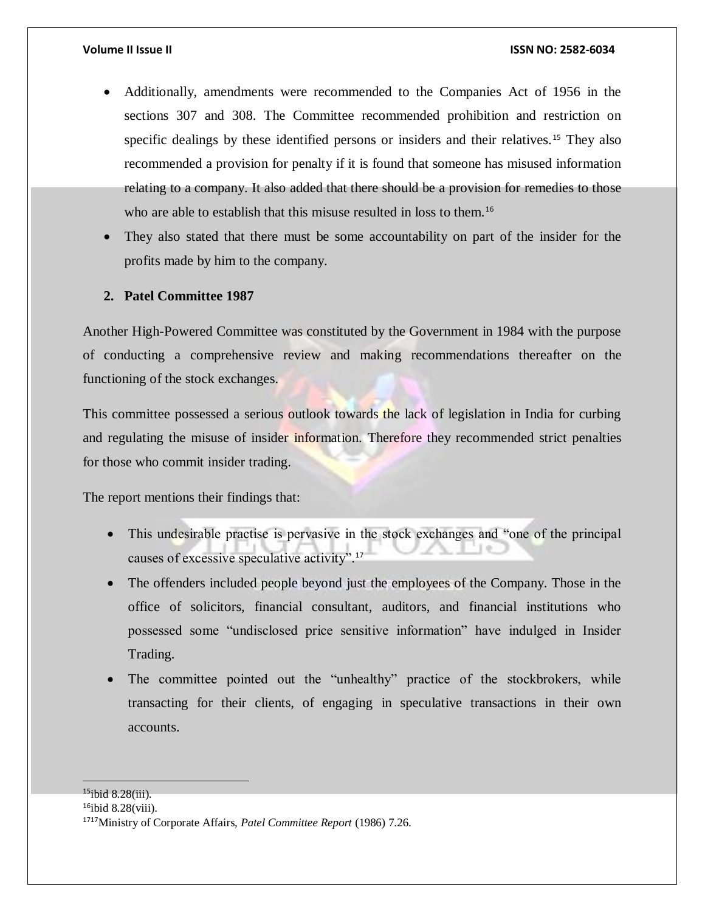- Additionally, amendments were recommended to the Companies Act of 1956 in the sections 307 and 308. The Committee recommended prohibition and restriction on specific dealings by these identified persons or insiders and their relatives.<sup>15</sup> They also recommended a provision for penalty if it is found that someone has misused information relating to a company. It also added that there should be a provision for remedies to those who are able to establish that this misuse resulted in loss to them.<sup>16</sup>
- They also stated that there must be some accountability on part of the insider for the profits made by him to the company.

# <span id="page-8-0"></span>**2. Patel Committee 1987**

Another High-Powered Committee was constituted by the Government in 1984 with the purpose of conducting a comprehensive review and making recommendations thereafter on the functioning of the stock exchanges.

This committee possessed a serious outlook towards the lack of legislation in India for curbing and regulating the misuse of insider information. Therefore they recommended strict penalties for those who commit insider trading.

The report mentions their findings that:

- This undesirable practise is pervasive in the stock exchanges and "one of the principal causes of excessive speculative activity".<sup>17</sup>
- The offenders included people beyond just the employees of the Company. Those in the office of solicitors, financial consultant, auditors, and financial institutions who possessed some "undisclosed price sensitive information" have indulged in Insider Trading.
- The committee pointed out the "unhealthy" practice of the stockbrokers, while transacting for their clients, of engaging in speculative transactions in their own accounts.

<sup>15</sup>ibid 8.28(iii).

 $16$ ibid 8.28(viii).

<sup>1717</sup>Ministry of Corporate Affairs, *Patel Committee Report* (1986) 7.26.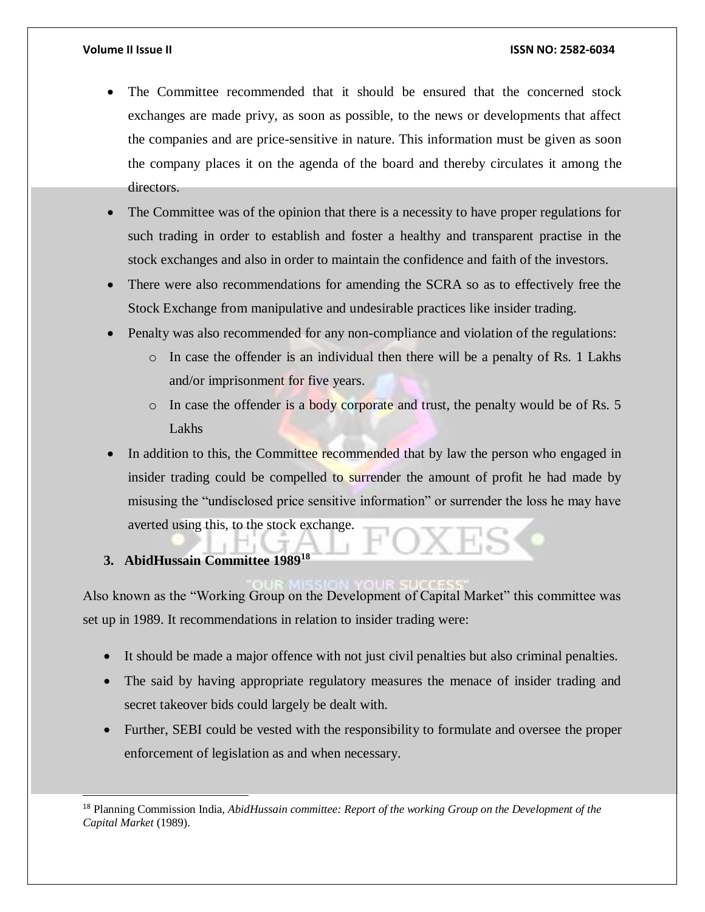- The Committee recommended that it should be ensured that the concerned stock exchanges are made privy, as soon as possible, to the news or developments that affect the companies and are price-sensitive in nature. This information must be given as soon the company places it on the agenda of the board and thereby circulates it among the directors.
- The Committee was of the opinion that there is a necessity to have proper regulations for such trading in order to establish and foster a healthy and transparent practise in the stock exchanges and also in order to maintain the confidence and faith of the investors.
- There were also recommendations for amending the SCRA so as to effectively free the Stock Exchange from manipulative and undesirable practices like insider trading.
- Penalty was also recommended for any non-compliance and violation of the regulations:
	- o In case the offender is an individual then there will be a penalty of Rs. 1 Lakhs and/or imprisonment for five years.
	- o In case the offender is a body corporate and trust, the penalty would be of Rs. 5 Lakhs
- In addition to this, the Committee recommended that by law the person who engaged in insider trading could be compelled to surrender the amount of profit he had made by misusing the "undisclosed price sensitive information" or surrender the loss he may have averted using this, to the stock exchange.

# <span id="page-9-0"></span>**3. AbidHussain Committee 1989<sup>18</sup>**

l

Also known as the "Working Group on the Development of Capital Market" this committee was set up in 1989. It recommendations in relation to insider trading were:

- It should be made a major offence with not just civil penalties but also criminal penalties.
- The said by having appropriate regulatory measures the menace of insider trading and secret takeover bids could largely be dealt with.
- Further, SEBI could be vested with the responsibility to formulate and oversee the proper enforcement of legislation as and when necessary.

<sup>18</sup> Planning Commission India, *AbidHussain committee: Report of the working Group on the Development of the Capital Market* (1989).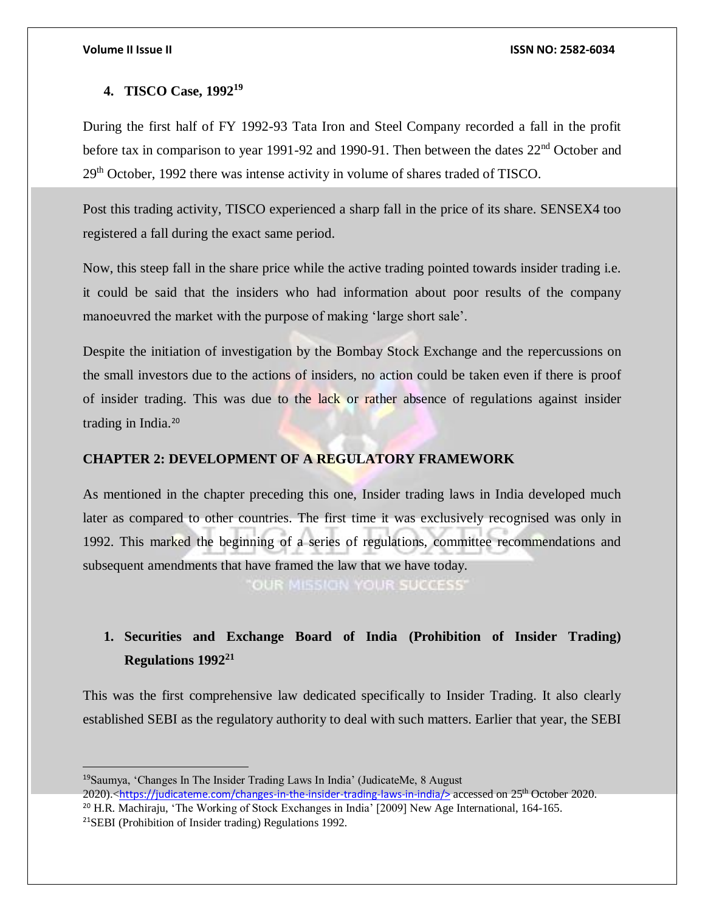# <span id="page-10-0"></span>**4. TISCO Case, 1992<sup>19</sup>**

During the first half of FY 1992-93 Tata Iron and Steel Company recorded a fall in the profit before tax in comparison to year 1991-92 and 1990-91. Then between the dates 22<sup>nd</sup> October and 29th October, 1992 there was intense activity in volume of shares traded of TISCO.

Post this trading activity, TISCO experienced a sharp fall in the price of its share. SENSEX4 too registered a fall during the exact same period.

Now, this steep fall in the share price while the active trading pointed towards insider trading i.e. it could be said that the insiders who had information about poor results of the company manoeuvred the market with the purpose of making 'large short sale'.

Despite the initiation of investigation by the Bombay Stock Exchange and the repercussions on the small investors due to the actions of insiders, no action could be taken even if there is proof of insider trading. This was due to the lack or rather absence of regulations against insider trading in India.<sup>20</sup>

# <span id="page-10-1"></span>**CHAPTER 2: DEVELOPMENT OF A REGULATORY FRAMEWORK**

As mentioned in the chapter preceding this one, Insider trading laws in India developed much later as compared to other countries. The first time it was exclusively recognised was only in 1992. This marked the beginning of a series of regulations, committee recommendations and subsequent amendments that have framed the law that we have today.

OUR MISSION YOUR SUCCESS'

# <span id="page-10-2"></span>**1. Securities and Exchange Board of India (Prohibition of Insider Trading) Regulations 1992<sup>21</sup>**

This was the first comprehensive law dedicated specifically to Insider Trading. It also clearly established SEBI as the regulatory authority to deal with such matters. Earlier that year, the SEBI

 <sup>19</sup>Saumya, 'Changes In The Insider Trading Laws In India' (JudicateMe, 8 August 2020).<[https://judicateme.com/changes-in-the-insider-trading-laws-in-india/>](https://judicateme.com/changes-in-the-insider-trading-laws-in-india/) accessed on 25th October 2020. <sup>20</sup> H.R. Machiraju, 'The Working of Stock Exchanges in India' [2009] New Age International, 164-165.

<sup>21</sup>SEBI (Prohibition of Insider trading) Regulations 1992.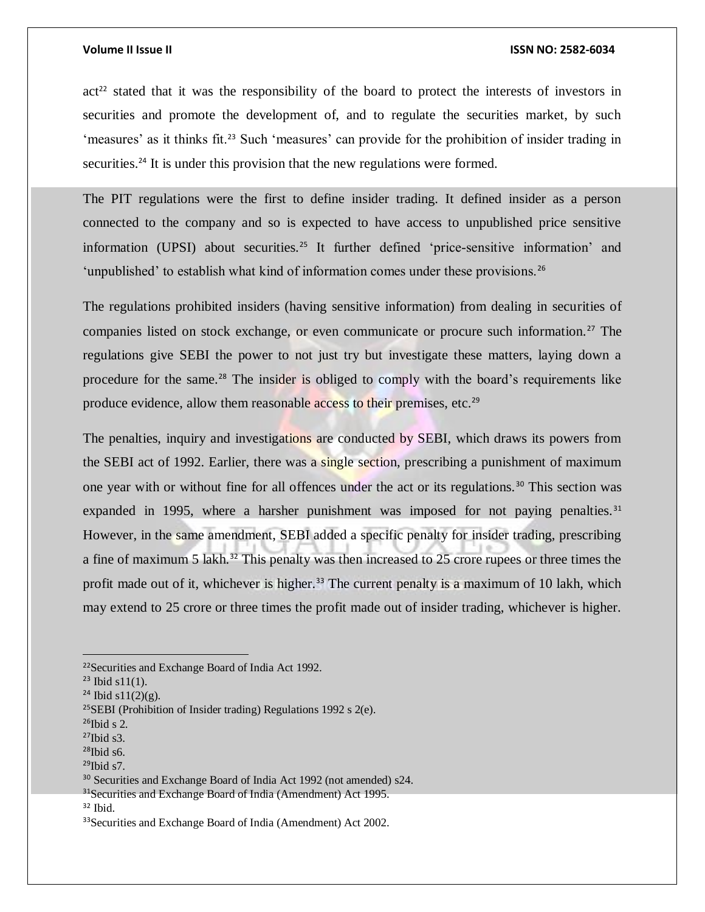$\alpha$  act<sup>22</sup> stated that it was the responsibility of the board to protect the interests of investors in securities and promote the development of, and to regulate the securities market, by such 'measures' as it thinks fit.<sup>23</sup> Such 'measures' can provide for the prohibition of insider trading in securities.<sup>24</sup> It is under this provision that the new regulations were formed.

The PIT regulations were the first to define insider trading. It defined insider as a person connected to the company and so is expected to have access to unpublished price sensitive information (UPSI) about securities.<sup>25</sup> It further defined 'price-sensitive information' and 'unpublished' to establish what kind of information comes under these provisions.<sup>26</sup>

The regulations prohibited insiders (having sensitive information) from dealing in securities of companies listed on stock exchange, or even communicate or procure such information.<sup>27</sup> The regulations give SEBI the power to not just try but investigate these matters, laying down a procedure for the same.<sup>28</sup> The insider is obliged to comply with the board's requirements like produce evidence, allow them reasonable access to their premises, etc.<sup>29</sup>

The penalties, inquiry and investigations are conducted by SEBI, which draws its powers from the SEBI act of 1992. Earlier, there was a single section, prescribing a punishment of maximum one year with or without fine for all offences under the act or its regulations. <sup>30</sup> This section was expanded in 1995, where a harsher punishment was imposed for not paying penalties.<sup>31</sup> However, in the same amendment, SEBI added a specific penalty for insider trading, prescribing a fine of maximum 5 lakh.<sup>32</sup> This penalty was then increased to 25 crore rupees or three times the profit made out of it, whichever is higher.<sup>33</sup> The current penalty is a maximum of 10 lakh, which may extend to 25 crore or three times the profit made out of insider trading, whichever is higher.

<sup>22</sup>Securities and Exchange Board of India Act 1992.

 $23$  Ibid s11(1).

 $24$  Ibid s11(2)(g).

<sup>&</sup>lt;sup>25</sup>SEBI (Prohibition of Insider trading) Regulations 1992 s  $2(e)$ .

 $26$ Ibid s 2.

 $27$ Ibid s3.

 $28$ Ibid s6.

 $29$ Ibid s7.

<sup>&</sup>lt;sup>30</sup> Securities and Exchange Board of India Act 1992 (not amended) s24.

<sup>&</sup>lt;sup>31</sup>Securities and Exchange Board of India (Amendment) Act 1995.

<sup>32</sup> Ibid.

<sup>33</sup>Securities and Exchange Board of India (Amendment) Act 2002.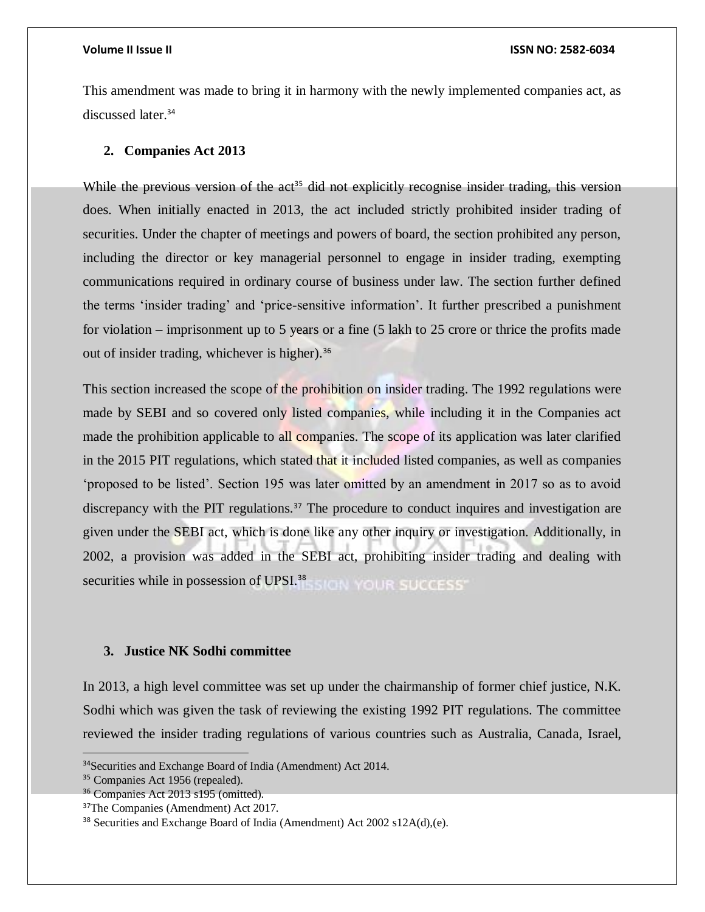This amendment was made to bring it in harmony with the newly implemented companies act, as discussed later.<sup>34</sup>

## <span id="page-12-0"></span>**2. Companies Act 2013**

While the previous version of the  $act<sup>35</sup>$  did not explicitly recognise insider trading, this version does. When initially enacted in 2013, the act included strictly prohibited insider trading of securities. Under the chapter of meetings and powers of board, the section prohibited any person, including the director or key managerial personnel to engage in insider trading, exempting communications required in ordinary course of business under law. The section further defined the terms 'insider trading' and 'price-sensitive information'. It further prescribed a punishment for violation – imprisonment up to 5 years or a fine (5 lakh to 25 crore or thrice the profits made out of insider trading, whichever is higher).<sup>36</sup>

This section increased the scope of the prohibition on insider trading. The 1992 regulations were made by SEBI and so covered only listed companies, while including it in the Companies act made the prohibition applicable to all companies. The scope of its application was later clarified in the 2015 PIT regulations, which stated that it included listed companies, as well as companies 'proposed to be listed'. Section 195 was later omitted by an amendment in 2017 so as to avoid discrepancy with the PIT regulations.<sup>37</sup> The procedure to conduct inquires and investigation are given under the SEBI act, which is done like any other inquiry or investigation. Additionally, in 2002, a provision was added in the SEBI act, prohibiting insider trading and dealing with securities while in possession of UPSI.<sup>38</sup> SIGN YOUR SUCCESS

# <span id="page-12-1"></span>**3. Justice NK Sodhi committee**

In 2013, a high level committee was set up under the chairmanship of former chief justice, N.K. Sodhi which was given the task of reviewing the existing 1992 PIT regulations. The committee reviewed the insider trading regulations of various countries such as Australia, Canada, Israel,

<sup>&</sup>lt;sup>34</sup>Securities and Exchange Board of India (Amendment) Act 2014.

<sup>35</sup> Companies Act 1956 (repealed).

<sup>36</sup> Companies Act 2013 s195 (omitted).

<sup>&</sup>lt;sup>37</sup>The Companies (Amendment) Act 2017.

<sup>&</sup>lt;sup>38</sup> Securities and Exchange Board of India (Amendment) Act 2002 s12A(d),(e).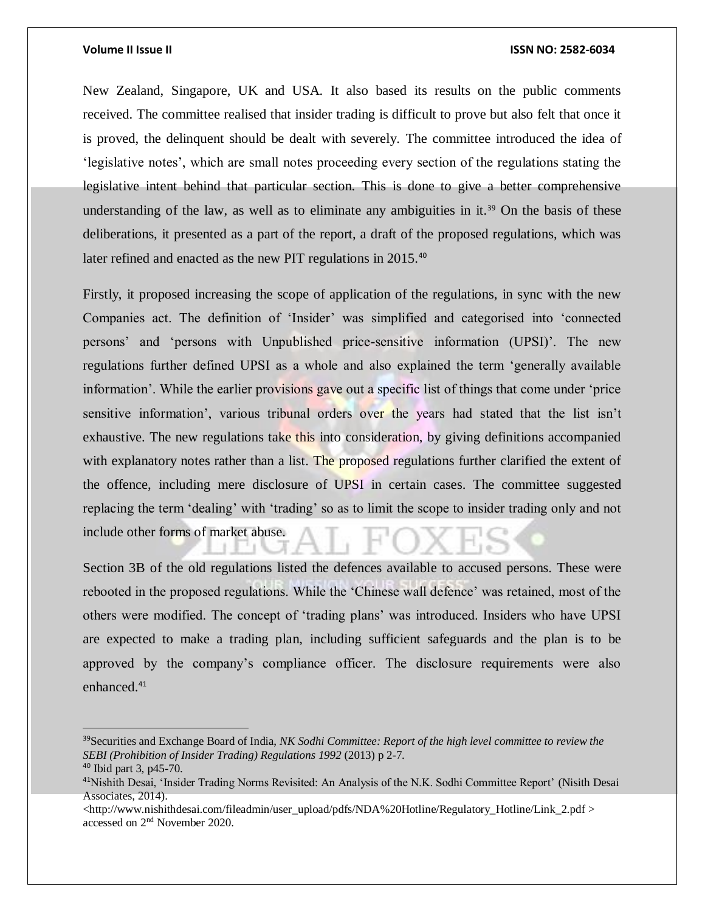New Zealand, Singapore, UK and USA. It also based its results on the public comments received. The committee realised that insider trading is difficult to prove but also felt that once it is proved, the delinquent should be dealt with severely. The committee introduced the idea of 'legislative notes', which are small notes proceeding every section of the regulations stating the legislative intent behind that particular section. This is done to give a better comprehensive understanding of the law, as well as to eliminate any ambiguities in it.<sup>39</sup> On the basis of these deliberations, it presented as a part of the report, a draft of the proposed regulations, which was later refined and enacted as the new PIT regulations in 2015.<sup>40</sup>

Firstly, it proposed increasing the scope of application of the regulations, in sync with the new Companies act. The definition of 'Insider' was simplified and categorised into 'connected persons' and 'persons with Unpublished price-sensitive information (UPSI)'. The new regulations further defined UPSI as a whole and also explained the term 'generally available information'. While the earlier provisions gave out a specific list of things that come under 'price sensitive information', various tribunal orders over the years had stated that the list isn't exhaustive. The new regulations take this into consideration, by giving definitions accompanied with explanatory notes rather than a list. The proposed regulations further clarified the extent of the offence, including mere disclosure of UPSI in certain cases. The committee suggested replacing the term 'dealing' with 'trading' so as to limit the scope to insider trading only and not include other forms of market abuse.

Section 3B of the old regulations listed the defences available to accused persons. These were rebooted in the proposed regulations. While the 'Chinese wall defence' was retained, most of the others were modified. The concept of 'trading plans' was introduced. Insiders who have UPSI are expected to make a trading plan, including sufficient safeguards and the plan is to be approved by the company's compliance officer. The disclosure requirements were also enhanced.<sup>41</sup>

<sup>39</sup>Securities and Exchange Board of India, *NK Sodhi Committee: Report of the high level committee to review the SEBI (Prohibition of Insider Trading) Regulations 1992* (2013) p 2-7.

<sup>40</sup> Ibid part 3, p45-70.

<sup>41</sup>Nishith Desai, 'Insider Trading Norms Revisited: An Analysis of the N.K. Sodhi Committee Report' (Nisith Desai Associates, 2014).

 $\lt$ http://www.nishithdesai.com/fileadmin/user\_upload/pdfs/NDA%20Hotline/Regulatory\_Hotline/Link\_2.pdf > accessed on 2nd November 2020.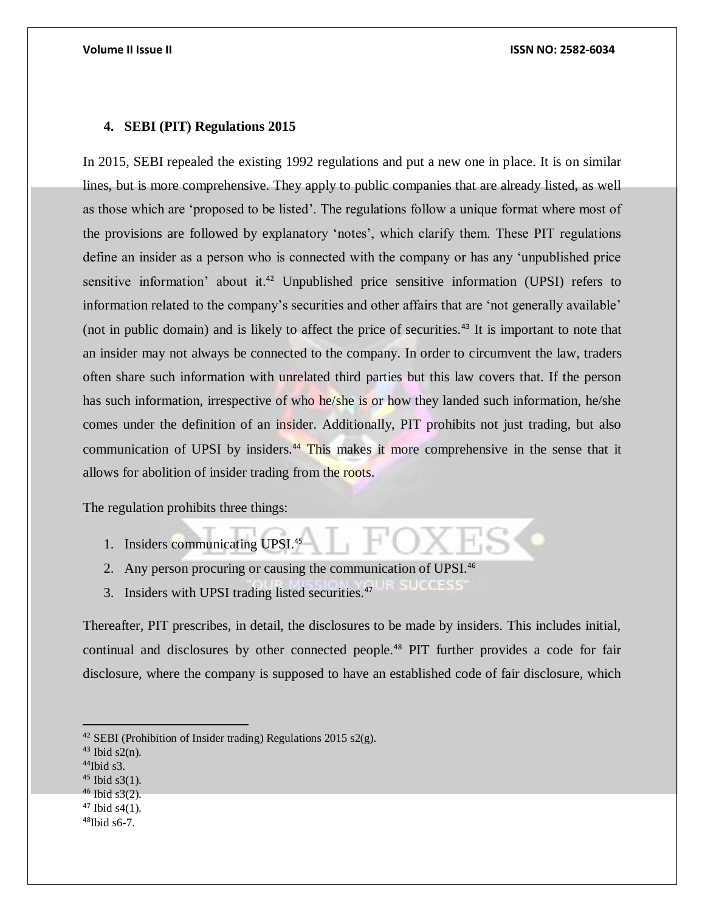# <span id="page-14-0"></span>**4. SEBI (PIT) Regulations 2015**

In 2015, SEBI repealed the existing 1992 regulations and put a new one in place. It is on similar lines, but is more comprehensive. They apply to public companies that are already listed, as well as those which are 'proposed to be listed'. The regulations follow a unique format where most of the provisions are followed by explanatory 'notes', which clarify them. These PIT regulations define an insider as a person who is connected with the company or has any 'unpublished price sensitive information' about it.<sup>42</sup> Unpublished price sensitive information (UPSI) refers to information related to the company's securities and other affairs that are 'not generally available' (not in public domain) and is likely to affect the price of securities.<sup>43</sup> It is important to note that an insider may not always be connected to the company. In order to circumvent the law, traders often share such information with unrelated third parties but this law covers that. If the person has such information, irrespective of who he/she is or how they landed such information, he/she comes under the definition of an insider. Additionally, PIT prohibits not just trading, but also communication of UPSI by insiders.<sup>44</sup> This makes it more comprehensive in the sense that it allows for abolition of insider trading from the roots.

The regulation prohibits three things:

- 1. Insiders communicating UPSI.<sup>45</sup>
- 2. Any person procuring or causing the communication of UPSI.<sup>46</sup>
- **STRIKGSSS** 3. Insiders with UPSI trading listed securities.<sup>47</sup>

Thereafter, PIT prescribes, in detail, the disclosures to be made by insiders. This includes initial, continual and disclosures by other connected people.<sup>48</sup> PIT further provides a code for fair disclosure, where the company is supposed to have an established code of fair disclosure, which

<sup>46</sup> Ibid s3(2).

<sup>&</sup>lt;sup>42</sup> SEBI (Prohibition of Insider trading) Regulations 2015 s2(g).

 $43$  Ibid s2(n).

 $44$ Ibid s3.

 $45$  Ibid s3(1).

 $47$  Ibid s4(1).

 $48$ Ibid s6-7.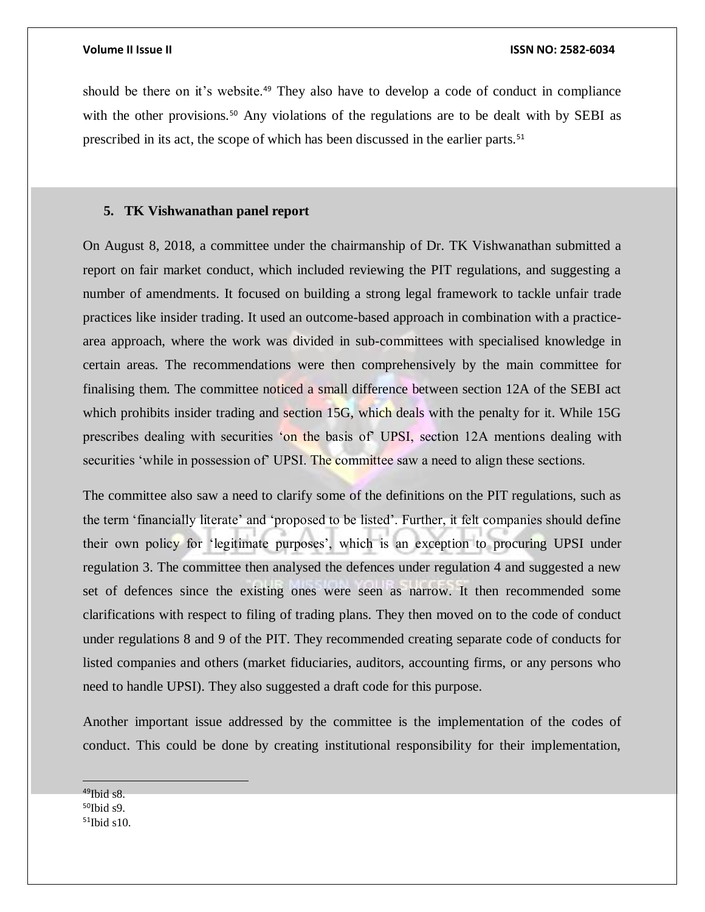should be there on it's website.<sup>49</sup> They also have to develop a code of conduct in compliance with the other provisions.<sup>50</sup> Any violations of the regulations are to be dealt with by SEBI as prescribed in its act, the scope of which has been discussed in the earlier parts.<sup>51</sup>

# <span id="page-15-0"></span>**5. TK Vishwanathan panel report**

On August 8, 2018, a committee under the chairmanship of Dr. TK Vishwanathan submitted a report on fair market conduct, which included reviewing the PIT regulations, and suggesting a number of amendments. It focused on building a strong legal framework to tackle unfair trade practices like insider trading. It used an outcome-based approach in combination with a practicearea approach, where the work was divided in sub-committees with specialised knowledge in certain areas. The recommendations were then comprehensively by the main committee for finalising them. The committee noticed a small difference between section 12A of the SEBI act which prohibits insider trading and section 15G, which deals with the penalty for it. While 15G prescribes dealing with securities 'on the basis of' UPSI, section 12A mentions dealing with securities 'while in possession of' UPSI. The committee saw a need to align these sections.

The committee also saw a need to clarify some of the definitions on the PIT regulations, such as the term 'financially literate' and 'proposed to be listed'. Further, it felt companies should define their own policy for 'legitimate purposes', which is an exception to procuring UPSI under regulation 3. The committee then analysed the defences under regulation 4 and suggested a new set of defences since the existing ones were seen as narrow. It then recommended some clarifications with respect to filing of trading plans. They then moved on to the code of conduct under regulations 8 and 9 of the PIT. They recommended creating separate code of conducts for listed companies and others (market fiduciaries, auditors, accounting firms, or any persons who need to handle UPSI). They also suggested a draft code for this purpose.

Another important issue addressed by the committee is the implementation of the codes of conduct. This could be done by creating institutional responsibility for their implementation,

<sup>49</sup>Ibid s8.  $50$ Ibid s9.  $51$ Ibid s10.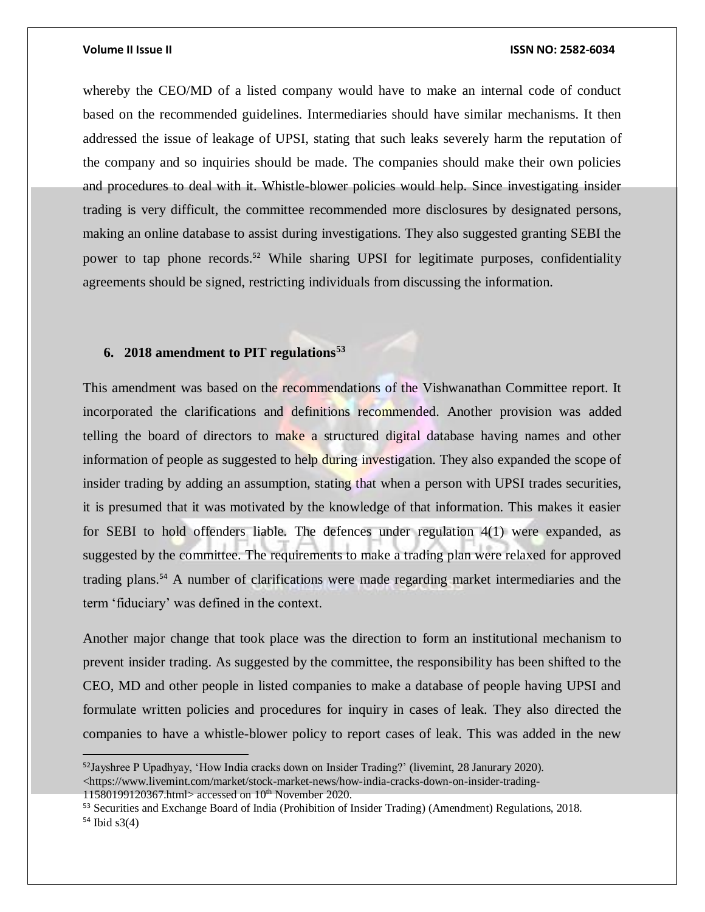$\overline{a}$ 

### **Volume II Issue II ISSN NO: 2582-6034**

whereby the CEO/MD of a listed company would have to make an internal code of conduct based on the recommended guidelines. Intermediaries should have similar mechanisms. It then addressed the issue of leakage of UPSI, stating that such leaks severely harm the reputation of the company and so inquiries should be made. The companies should make their own policies and procedures to deal with it. Whistle-blower policies would help. Since investigating insider trading is very difficult, the committee recommended more disclosures by designated persons, making an online database to assist during investigations. They also suggested granting SEBI the power to tap phone records.<sup>52</sup> While sharing UPSI for legitimate purposes, confidentiality agreements should be signed, restricting individuals from discussing the information.

# <span id="page-16-0"></span>**6. 2018 amendment to PIT regulations<sup>53</sup>**

This amendment was based on the recommendations of the Vishwanathan Committee report. It incorporated the clarifications and definitions recommended. Another provision was added telling the board of directors to make a structured digital database having names and other information of people as suggested to help during investigation. They also expanded the scope of insider trading by adding an assumption, stating that when a person with UPSI trades securities, it is presumed that it was motivated by the knowledge of that information. This makes it easier for SEBI to hold offenders liable. The defences under regulation 4(1) were expanded, as suggested by the committee. The requirements to make a trading plan were relaxed for approved trading plans.<sup>54</sup> A number of clarifications were made regarding market intermediaries and the term 'fiduciary' was defined in the context.

Another major change that took place was the direction to form an institutional mechanism to prevent insider trading. As suggested by the committee, the responsibility has been shifted to the CEO, MD and other people in listed companies to make a database of people having UPSI and formulate written policies and procedures for inquiry in cases of leak. They also directed the companies to have a whistle-blower policy to report cases of leak. This was added in the new

<sup>52</sup>Jayshree P Upadhyay, 'How India cracks down on Insider Trading?' (livemint, 28 Janurary 2020). <https://www.livemint.com/market/stock-market-news/how-india-cracks-down-on-insider-trading-11580199120367.html> accessed on  $10<sup>th</sup>$  November 2020.

<sup>53</sup> Securities and Exchange Board of India (Prohibition of Insider Trading) (Amendment) Regulations, 2018.  $54$  Ibid s3(4)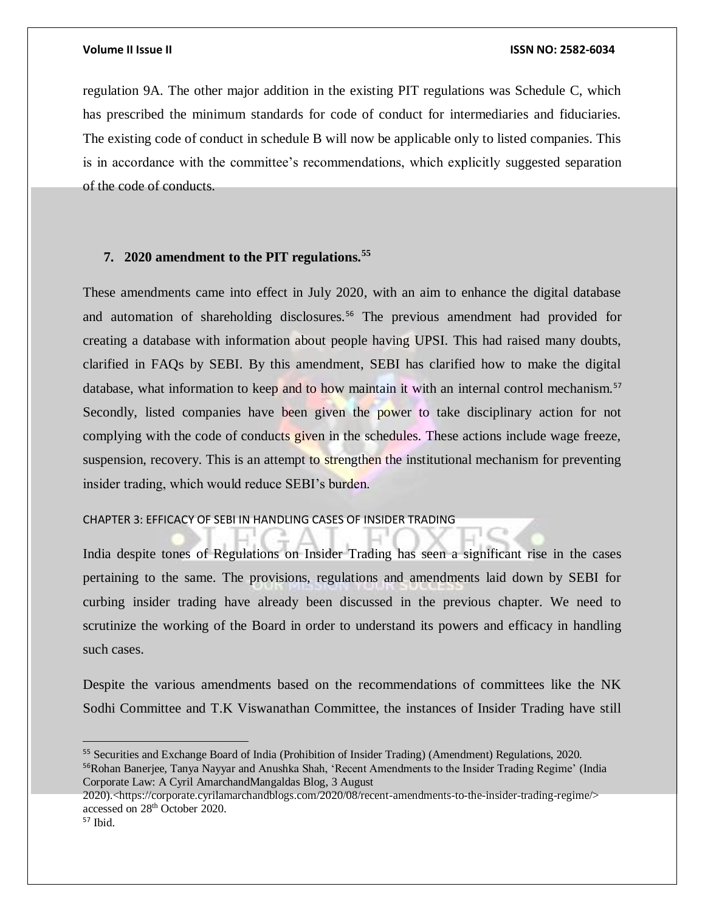regulation 9A. The other major addition in the existing PIT regulations was Schedule C, which has prescribed the minimum standards for code of conduct for intermediaries and fiduciaries. The existing code of conduct in schedule B will now be applicable only to listed companies. This is in accordance with the committee's recommendations, which explicitly suggested separation of the code of conducts.

# <span id="page-17-0"></span>**7. 2020 amendment to the PIT regulations.<sup>55</sup>**

These amendments came into effect in July 2020, with an aim to enhance the digital database and automation of shareholding disclosures.<sup>56</sup> The previous amendment had provided for creating a database with information about people having UPSI. This had raised many doubts, clarified in FAQs by SEBI. By this amendment, SEBI has clarified how to make the digital database, what information to keep and to how maintain it with an internal control mechanism.<sup>57</sup> Secondly, listed companies have been given the power to take disciplinary action for not complying with the code of conducts given in the schedules. These actions include wage freeze, suspension, recovery. This is an attempt to strengthen the institutional mechanism for preventing insider trading, which would reduce SEBI's burden.

# <span id="page-17-1"></span>CHAPTER 3: EFFICACY OF SEBI IN HANDLING CASES OF INSIDER TRADING

India despite tones of Regulations on Insider Trading has seen a significant rise in the cases pertaining to the same. The provisions, regulations and amendments laid down by SEBI for curbing insider trading have already been discussed in the previous chapter. We need to scrutinize the working of the Board in order to understand its powers and efficacy in handling such cases.

Despite the various amendments based on the recommendations of committees like the NK Sodhi Committee and T.K Viswanathan Committee, the instances of Insider Trading have still

<sup>55</sup> Securities and Exchange Board of India (Prohibition of Insider Trading) (Amendment) Regulations, 2020. <sup>56</sup>Rohan Banerjee, Tanya Nayyar and Anushka Shah, 'Recent Amendments to the Insider Trading Regime' (India Corporate Law: A Cyril AmarchandMangaldas Blog, 3 August

<sup>2020).&</sup>lt;https://corporate.cyrilamarchandblogs.com/2020/08/recent-amendments-to-the-insider-trading-regime/> accessed on 28th October 2020.

<sup>57</sup> Ibid.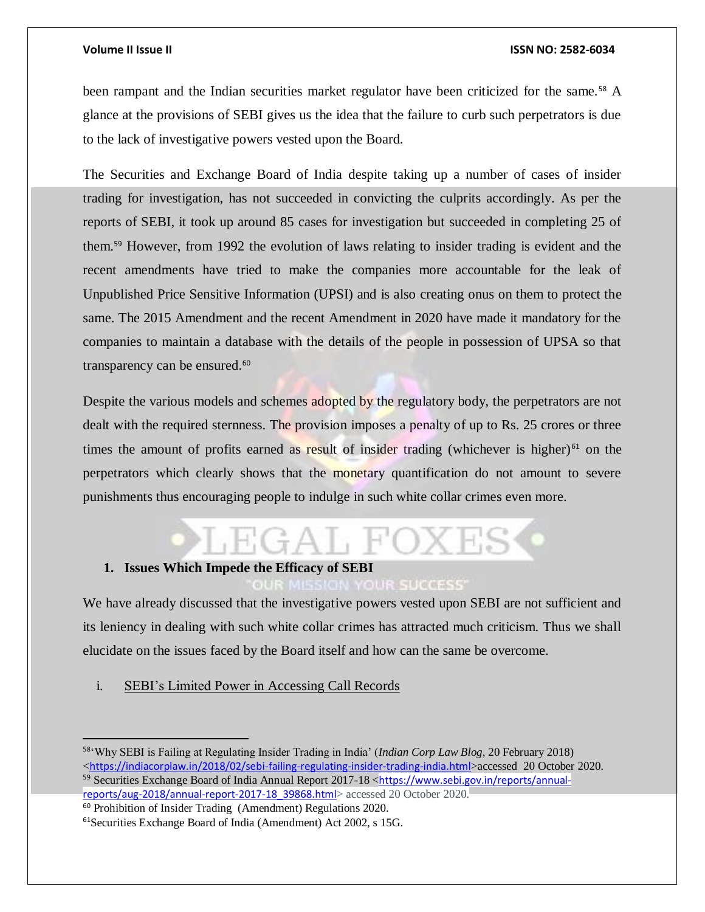been rampant and the Indian securities market regulator have been criticized for the same.<sup>58</sup> A glance at the provisions of SEBI gives us the idea that the failure to curb such perpetrators is due to the lack of investigative powers vested upon the Board.

The Securities and Exchange Board of India despite taking up a number of cases of insider trading for investigation, has not succeeded in convicting the culprits accordingly. As per the reports of SEBI, it took up around 85 cases for investigation but succeeded in completing 25 of them.<sup>59</sup> However, from 1992 the evolution of laws relating to insider trading is evident and the recent amendments have tried to make the companies more accountable for the leak of Unpublished Price Sensitive Information (UPSI) and is also creating onus on them to protect the same. The 2015 Amendment and the recent Amendment in 2020 have made it mandatory for the companies to maintain a database with the details of the people in possession of UPSA so that transparency can be ensured.<sup>60</sup>

Despite the various models and schemes adopted by the regulatory body, the perpetrators are not dealt with the required sternness. The provision imposes a penalty of up to Rs. 25 crores or three times the amount of profits earned as result of insider trading (whichever is higher) $61$  on the perpetrators which clearly shows that the monetary quantification do not amount to severe punishments thus encouraging people to indulge in such white collar crimes even more.

# <span id="page-18-0"></span>**1. Issues Which Impede the Efficacy of SEBI**

### **OUR SUCCESS**

We have already discussed that the investigative powers vested upon SEBI are not sufficient and its leniency in dealing with such white collar crimes has attracted much criticism. Thus we shall elucidate on the issues faced by the Board itself and how can the same be overcome.

<span id="page-18-1"></span>i. SEBI's Limited Power in Accessing Call Records

<sup>58</sup>'Why SEBI is Failing at Regulating Insider Trading in India' (*Indian Corp Law Blog*, 20 February 2018) <<https://indiacorplaw.in/2018/02/sebi-failing-regulating-insider-trading-india.html>>accessed 20 October 2020. <sup>59</sup> Securities Exchange Board of India Annual Report 2017-18 <[https://www.sebi.gov.in/reports/annual](https://www.sebi.gov.in/reports/annual-reports/aug-2018/annual-report-2017-18_39868.html)[reports/aug-2018/annual-report-2017-18\\_39868.html](https://www.sebi.gov.in/reports/annual-reports/aug-2018/annual-report-2017-18_39868.html)> accessed 20 October 2020.

<sup>60</sup> Prohibition of Insider Trading (Amendment) Regulations 2020.

<sup>61</sup>Securities Exchange Board of India (Amendment) Act 2002, s 15G.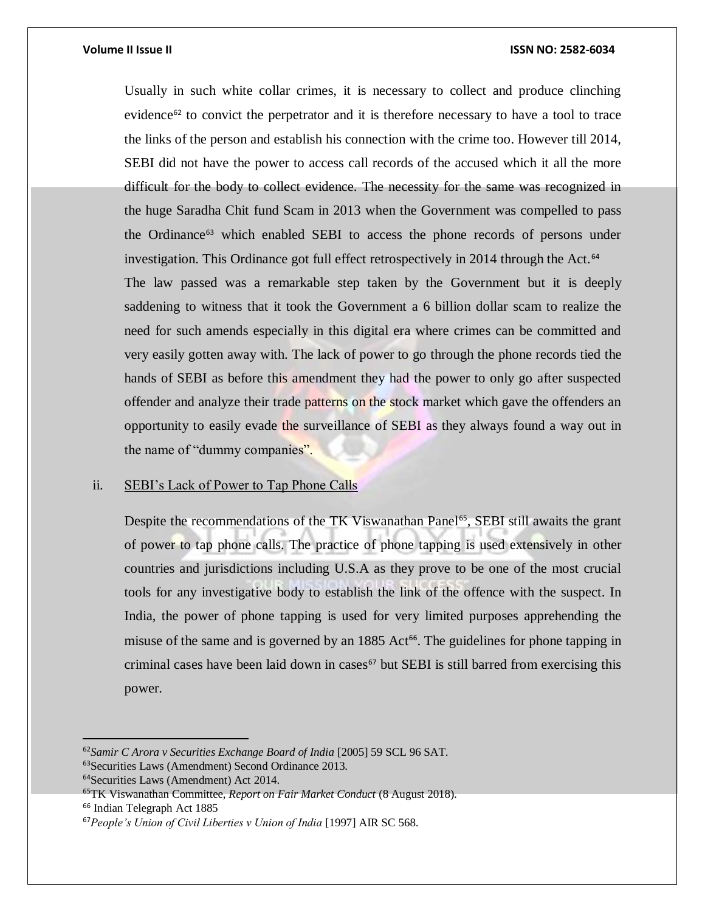Usually in such white collar crimes, it is necessary to collect and produce clinching evidence<sup>62</sup> to convict the perpetrator and it is therefore necessary to have a tool to trace the links of the person and establish his connection with the crime too. However till 2014, SEBI did not have the power to access call records of the accused which it all the more difficult for the body to collect evidence. The necessity for the same was recognized in the huge Saradha Chit fund Scam in 2013 when the Government was compelled to pass the Ordinance<sup>63</sup> which enabled SEBI to access the phone records of persons under investigation. This Ordinance got full effect retrospectively in 2014 through the Act.<sup>64</sup> The law passed was a remarkable step taken by the Government but it is deeply saddening to witness that it took the Government a 6 billion dollar scam to realize the need for such amends especially in this digital era where crimes can be committed and very easily gotten away with. The lack of power to go through the phone records tied the hands of SEBI as before this amendment they had the power to only go after suspected offender and analyze their trade patterns on the stock market which gave the offenders an opportunity to easily evade the surveillance of SEBI as they always found a way out in

the name of "dummy companies".

# <span id="page-19-0"></span>ii. SEBI's Lack of Power to Tap Phone Calls

Despite the recommendations of the TK Viswanathan Panel<sup>65</sup>, SEBI still awaits the grant of power to tap phone calls. The practice of phone tapping is used extensively in other countries and jurisdictions including U.S.A as they prove to be one of the most crucial tools for any investigative body to establish the link of the offence with the suspect. In India, the power of phone tapping is used for very limited purposes apprehending the misuse of the same and is governed by an  $1885$  Act<sup>66</sup>. The guidelines for phone tapping in criminal cases have been laid down in cases $67$  but SEBI is still barred from exercising this power.

<sup>66</sup> Indian Telegraph Act 1885

<sup>62</sup>*Samir C Arora v Securities Exchange Board of India* [2005] 59 SCL 96 SAT.

<sup>63</sup>Securities Laws (Amendment) Second Ordinance 2013.

<sup>64</sup>Securities Laws (Amendment) Act 2014.

<sup>65</sup>TK Viswanathan Committee, *Report on Fair Market Conduct* (8 August 2018).

<sup>67</sup>*People's Union of Civil Liberties v Union of India* [1997] AIR SC 568.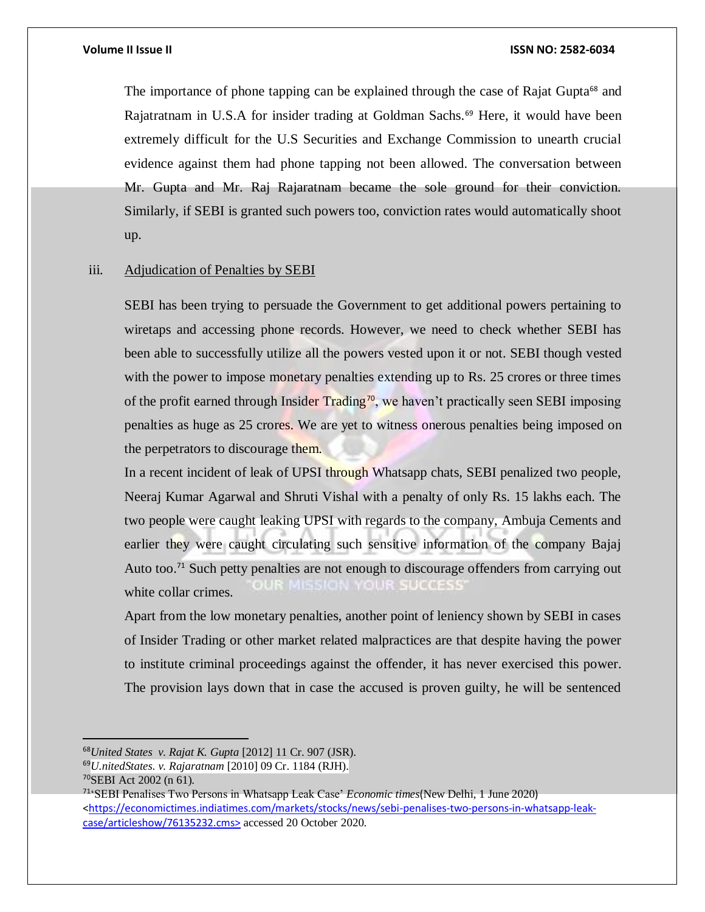The importance of phone tapping can be explained through the case of Rajat Gupta<sup>68</sup> and Rajatratnam in U.S.A for insider trading at Goldman Sachs.<sup>69</sup> Here, it would have been extremely difficult for the U.S Securities and Exchange Commission to unearth crucial evidence against them had phone tapping not been allowed. The conversation between Mr. Gupta and Mr. Raj Rajaratnam became the sole ground for their conviction. Similarly, if SEBI is granted such powers too, conviction rates would automatically shoot up.

# <span id="page-20-0"></span>iii. Adjudication of Penalties by SEBI

SEBI has been trying to persuade the Government to get additional powers pertaining to wiretaps and accessing phone records. However, we need to check whether SEBI has been able to successfully utilize all the powers vested upon it or not. SEBI though vested with the power to impose monetary penalties extending up to Rs. 25 crores or three times of the profit earned through Insider Trading<sup>70</sup>, we haven't practically seen SEBI imposing penalties as huge as 25 crores. We are yet to witness onerous penalties being imposed on the perpetrators to discourage them.

In a recent incident of leak of UPSI through Whatsapp chats, SEBI penalized two people, Neeraj Kumar Agarwal and Shruti Vishal with a penalty of only Rs. 15 lakhs each. The two people were caught leaking UPSI with regards to the company, Ambuja Cements and earlier they were caught circulating such sensitive information of the company Bajaj Auto too.<sup>71</sup> Such petty penalties are not enough to discourage offenders from carrying out OUR SUCCESS white collar crimes.

Apart from the low monetary penalties, another point of leniency shown by SEBI in cases of Insider Trading or other market related malpractices are that despite having the power to institute criminal proceedings against the offender, it has never exercised this power. The provision lays down that in case the accused is proven guilty, he will be sentenced

<sup>68</sup>*United States v. Rajat K. Gupta* [2012] 11 Cr. 907 (JSR).

<sup>69</sup>*U.nitedStates. v. Rajaratnam* [2010] 09 Cr. 1184 (RJH).

<sup>70</sup>SEBI Act 2002 (n 61).

<sup>71</sup>'SEBI Penalises Two Persons in Whatsapp Leak Case' *Economic times*(New Delhi, 1 June 2020) [<https://economictimes.indiatimes.com/markets/stocks/news/sebi-penalises-two-persons-in-whatsapp-leak](https://economictimes.indiatimes.com/markets/stocks/news/sebi-penalises-two-persons-in-whatsapp-leak-case/articleshow/76135232.cms)[case/articleshow/76135232.cms>](https://economictimes.indiatimes.com/markets/stocks/news/sebi-penalises-two-persons-in-whatsapp-leak-case/articleshow/76135232.cms) accessed 20 October 2020.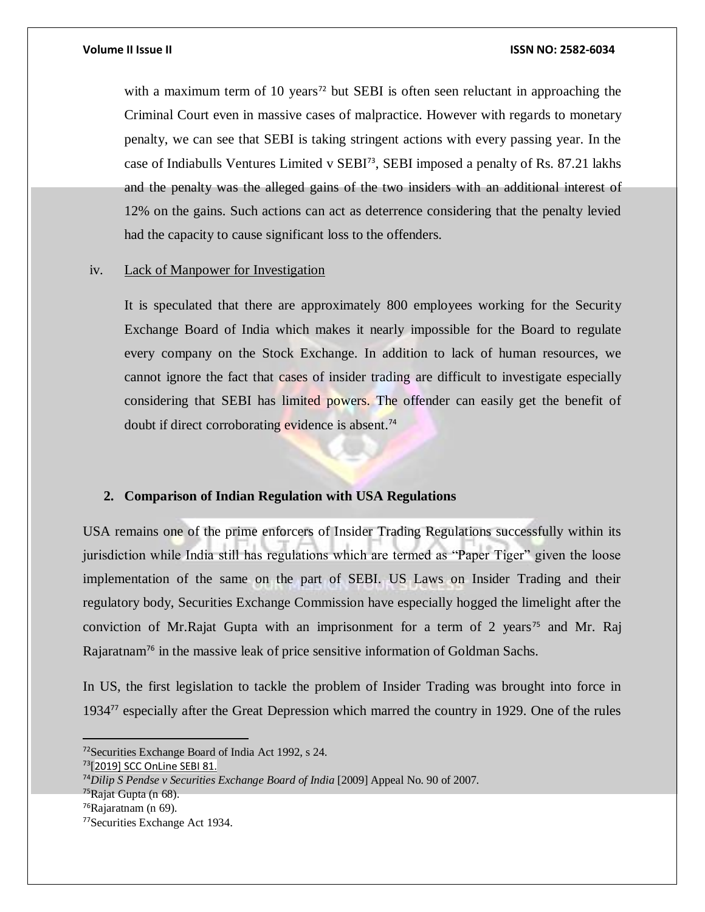with a maximum term of 10 years<sup>72</sup> but SEBI is often seen reluctant in approaching the Criminal Court even in massive cases of malpractice. However with regards to monetary penalty, we can see that SEBI is taking stringent actions with every passing year. In the case of Indiabulls Ventures Limited v SEBI<sup>73</sup>, SEBI imposed a penalty of Rs. 87.21 lakhs and the penalty was the alleged gains of the two insiders with an additional interest of 12% on the gains. Such actions can act as deterrence considering that the penalty levied had the capacity to cause significant loss to the offenders.

## <span id="page-21-0"></span>iv. Lack of Manpower for Investigation

It is speculated that there are approximately 800 employees working for the Security Exchange Board of India which makes it nearly impossible for the Board to regulate every company on the Stock Exchange. In addition to lack of human resources, we cannot ignore the fact that cases of insider trading are difficult to investigate especially considering that SEBI has limited powers. The offender can easily get the benefit of doubt if direct corroborating evidence is absent.<sup>74</sup>

# <span id="page-21-1"></span>**2. Comparison of Indian Regulation with USA Regulations**

USA remains one of the prime enforcers of Insider Trading Regulations successfully within its jurisdiction while India still has regulations which are termed as "Paper Tiger" given the loose implementation of the same on the part of SEBI. US Laws on Insider Trading and their regulatory body, Securities Exchange Commission have especially hogged the limelight after the conviction of Mr.Rajat Gupta with an imprisonment for a term of 2 years<sup>75</sup> and Mr. Raj Rajaratnam<sup>76</sup> in the massive leak of price sensitive information of Goldman Sachs.

In US, the first legislation to tackle the problem of Insider Trading was brought into force in 1934<sup>77</sup> especially after the Great Depression which marred the country in 1929. One of the rules

<sup>72</sup>Securities Exchange Board of India Act 1992, s 24.

<sup>73</sup>[2019] SCC OnLine SEBI 81.

<sup>74</sup>*Dilip S Pendse v Securities Exchange Board of India* [2009] Appeal No. 90 of 2007.

<sup>75</sup>Rajat Gupta (n 68).

<sup>76</sup>Rajaratnam (n 69).

<sup>77</sup>Securities Exchange Act 1934.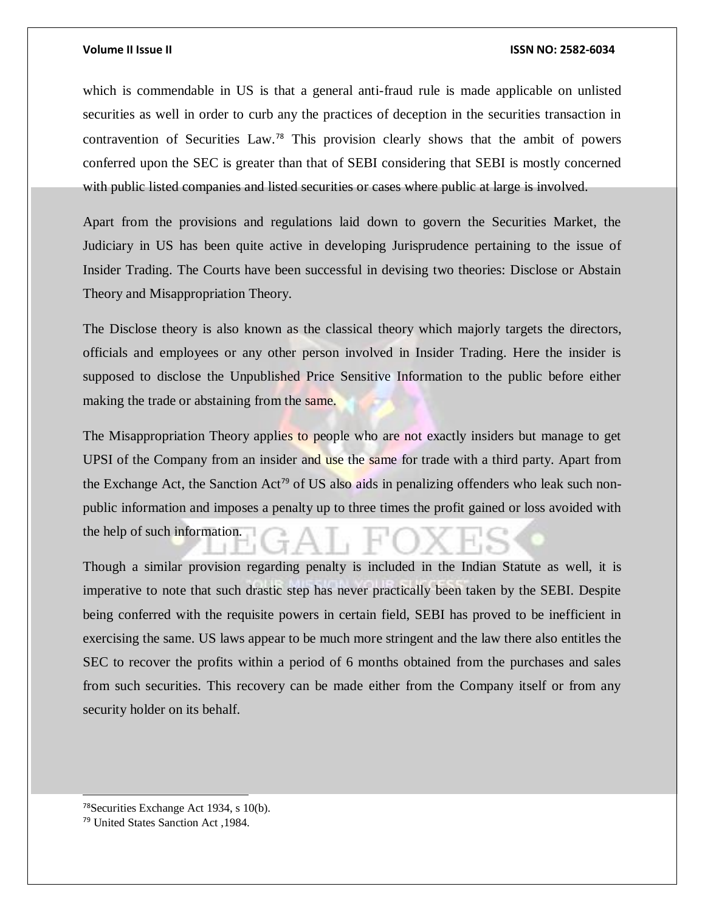which is commendable in US is that a general anti-fraud rule is made applicable on unlisted securities as well in order to curb any the practices of deception in the securities transaction in contravention of Securities Law.<sup>78</sup> This provision clearly shows that the ambit of powers conferred upon the SEC is greater than that of SEBI considering that SEBI is mostly concerned with public listed companies and listed securities or cases where public at large is involved.

Apart from the provisions and regulations laid down to govern the Securities Market, the Judiciary in US has been quite active in developing Jurisprudence pertaining to the issue of Insider Trading. The Courts have been successful in devising two theories: Disclose or Abstain Theory and Misappropriation Theory.

The Disclose theory is also known as the classical theory which majorly targets the directors, officials and employees or any other person involved in Insider Trading. Here the insider is supposed to disclose the Unpublished Price Sensitive Information to the public before either making the trade or abstaining from the same.

The Misappropriation Theory applies to people who are not exactly insiders but manage to get UPSI of the Company from an insider and use the same for trade with a third party. Apart from the Exchange Act, the Sanction Act<sup>79</sup> of US also aids in penalizing offenders who leak such nonpublic information and imposes a penalty up to three times the profit gained or loss avoided with the help of such information.

Though a similar provision regarding penalty is included in the Indian Statute as well, it is imperative to note that such drastic step has never practically been taken by the SEBI. Despite being conferred with the requisite powers in certain field, SEBI has proved to be inefficient in exercising the same. US laws appear to be much more stringent and the law there also entitles the SEC to recover the profits within a period of 6 months obtained from the purchases and sales from such securities. This recovery can be made either from the Company itself or from any security holder on its behalf.

<sup>78</sup>Securities Exchange Act 1934, s 10(b).

l

<sup>79</sup> United States Sanction Act ,1984.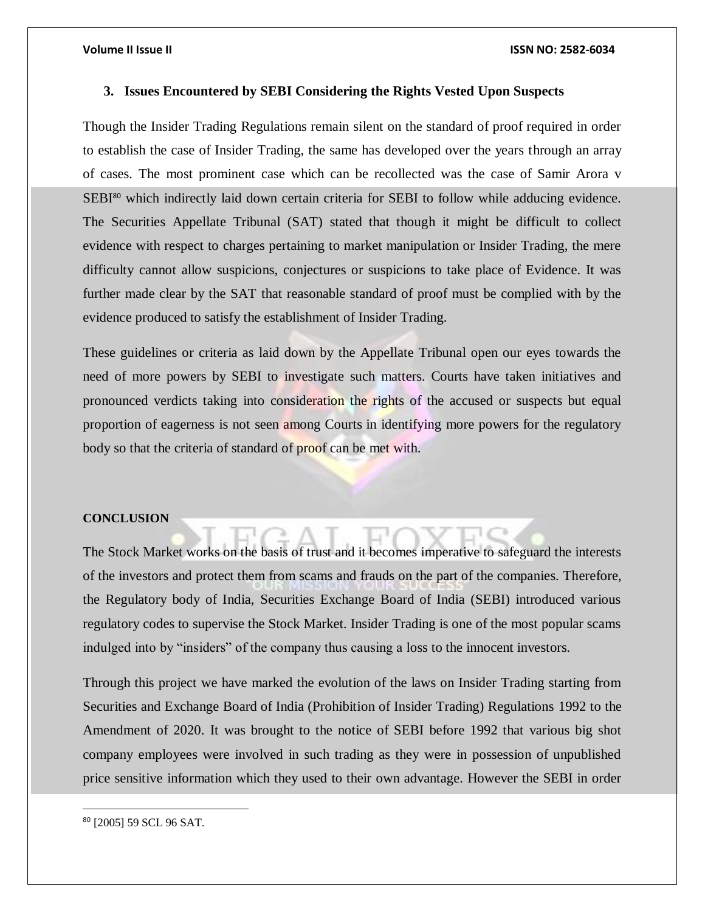# <span id="page-23-0"></span>**3. Issues Encountered by SEBI Considering the Rights Vested Upon Suspects**

Though the Insider Trading Regulations remain silent on the standard of proof required in order to establish the case of Insider Trading, the same has developed over the years through an array of cases. The most prominent case which can be recollected was the case of Samir Arora v SEBI<sup>80</sup> which indirectly laid down certain criteria for SEBI to follow while adducing evidence. The Securities Appellate Tribunal (SAT) stated that though it might be difficult to collect evidence with respect to charges pertaining to market manipulation or Insider Trading, the mere difficulty cannot allow suspicions, conjectures or suspicions to take place of Evidence. It was further made clear by the SAT that reasonable standard of proof must be complied with by the evidence produced to satisfy the establishment of Insider Trading.

These guidelines or criteria as laid down by the Appellate Tribunal open our eyes towards the need of more powers by SEBI to investigate such matters. Courts have taken initiatives and pronounced verdicts taking into consideration the rights of the accused or suspects but equal proportion of eagerness is not seen among Courts in identifying more powers for the regulatory body so that the criteria of standard of proof can be met with.

### <span id="page-23-1"></span>**CONCLUSION**

The Stock Market works on the basis of trust and it becomes imperative to safeguard the interests of the investors and protect them from scams and frauds on the part of the companies. Therefore, the Regulatory body of India, Securities Exchange Board of India (SEBI) introduced various regulatory codes to supervise the Stock Market. Insider Trading is one of the most popular scams indulged into by "insiders" of the company thus causing a loss to the innocent investors.

Through this project we have marked the evolution of the laws on Insider Trading starting from Securities and Exchange Board of India (Prohibition of Insider Trading) Regulations 1992 to the Amendment of 2020. It was brought to the notice of SEBI before 1992 that various big shot company employees were involved in such trading as they were in possession of unpublished price sensitive information which they used to their own advantage. However the SEBI in order

<sup>80</sup> [2005] 59 SCL 96 SAT.